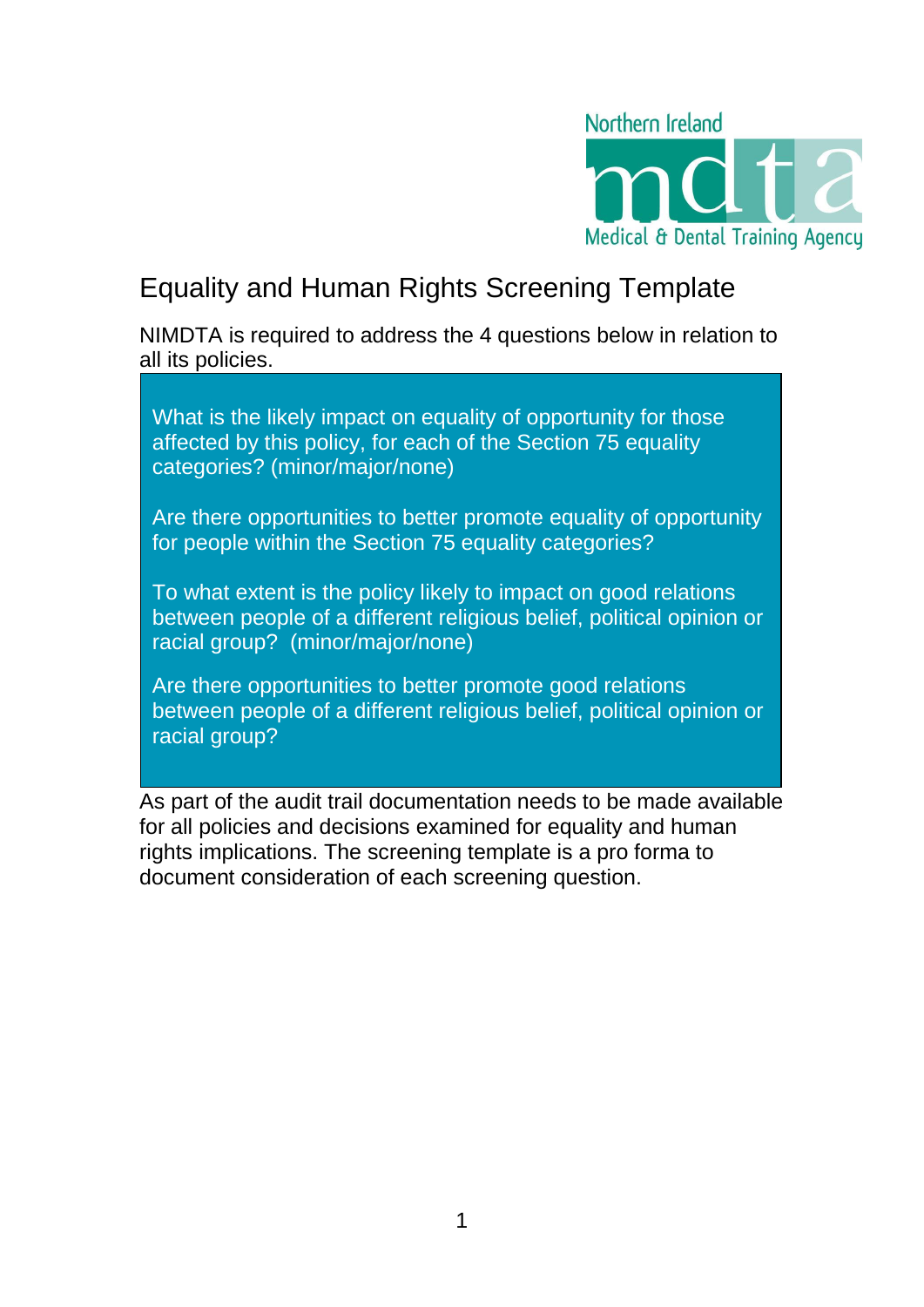

# Equality and Human Rights Screening Template

NIMDTA is required to address the 4 questions below in relation to all its policies.

What is the likely impact on equality of opportunity for those affected by this policy, for each of the Section 75 equality categories? (minor/major/none)

Are there opportunities to better promote equality of opportunity for people within the Section 75 equality categories?

To what extent is the policy likely to impact on good relations between people of a different religious belief, political opinion or racial group? (minor/major/none)

Are there opportunities to better promote good relations between people of a different religious belief, political opinion or racial group?

As part of the audit trail documentation needs to be made available for all policies and decisions examined for equality and human rights implications. The screening template is a pro forma to document consideration of each screening question.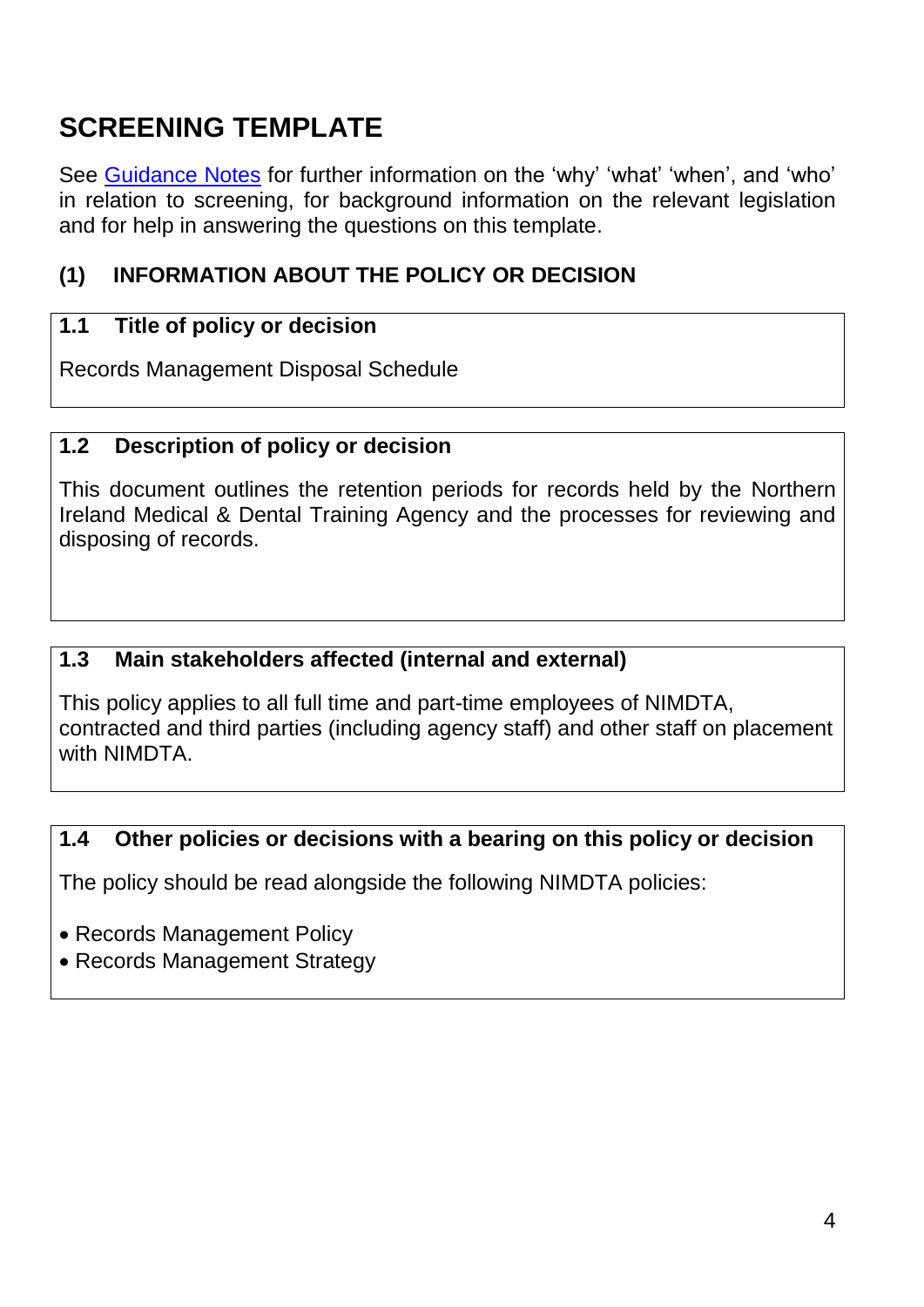# **SCREENING TEMPLATE**

See [Guidance Notes](http://www.hscbusiness.hscni.net/services/2244.htm) for further information on the 'why' 'what' 'when', and 'who' in relation to screening, for background information on the relevant legislation and for help in answering the questions on this template.

# **(1) INFORMATION ABOUT THE POLICY OR DECISION**

# **1.1 Title of policy or decision**

Records Management Disposal Schedule

## **1.2 Description of policy or decision**

This document outlines the retention periods for records held by the Northern Ireland Medical & Dental Training Agency and the processes for reviewing and disposing of records.

## **1.3 Main stakeholders affected (internal and external)**

This policy applies to all full time and part-time employees of NIMDTA, contracted and third parties (including agency staff) and other staff on placement with NIMDTA.

## **1.4 Other policies or decisions with a bearing on this policy or decision**

The policy should be read alongside the following NIMDTA policies:

- Records Management Policy
- Records Management Strategy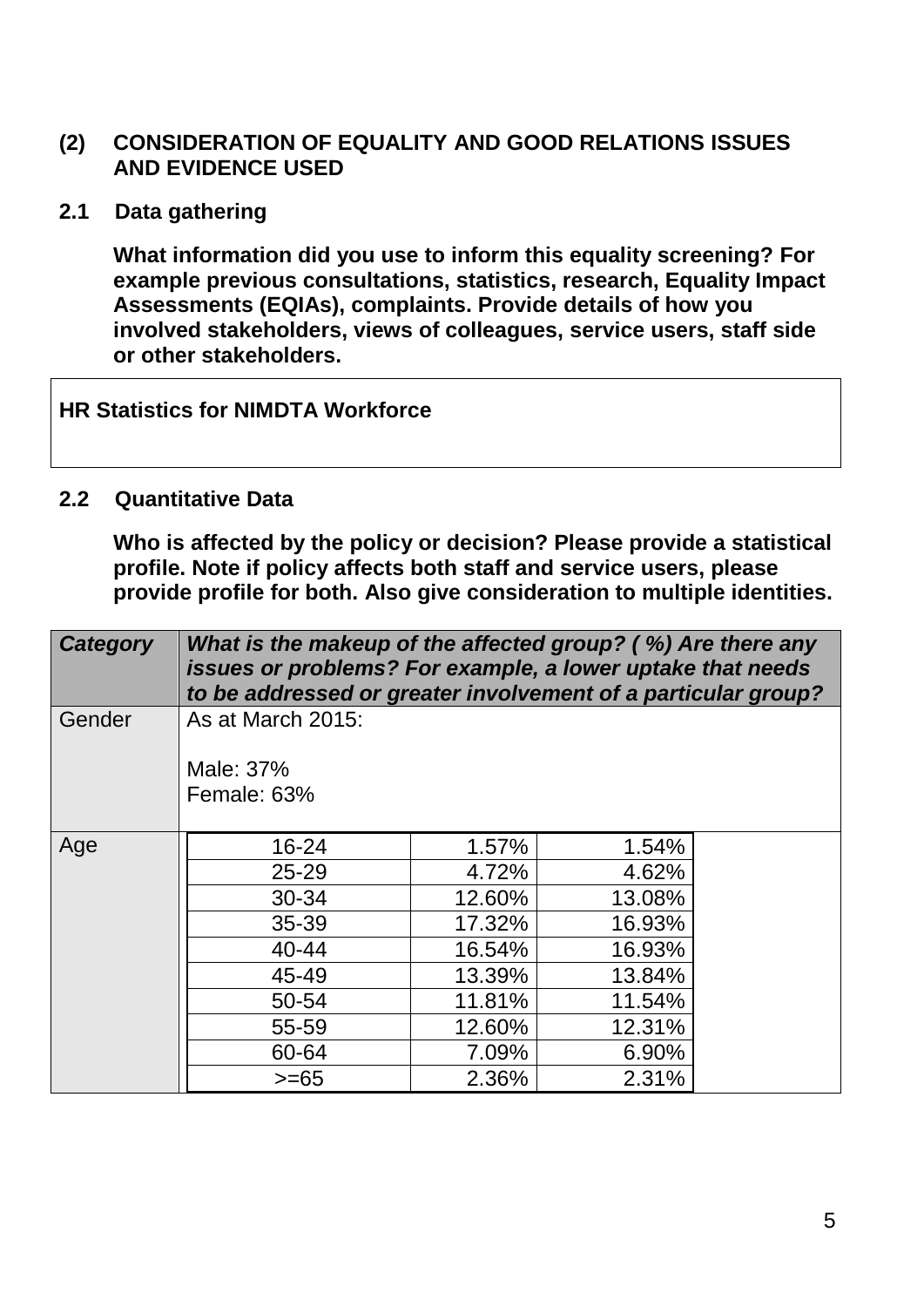## **(2) CONSIDERATION OF EQUALITY AND GOOD RELATIONS ISSUES AND EVIDENCE USED**

**2.1 Data gathering**

**What information did you use to inform this equality screening? For example previous consultations, statistics, research, Equality Impact Assessments (EQIAs), complaints. Provide details of how you involved stakeholders, views of colleagues, service users, staff side or other stakeholders.**

**HR Statistics for NIMDTA Workforce**

#### **2.2 Quantitative Data**

**Who is affected by the policy or decision? Please provide a statistical profile. Note if policy affects both staff and service users, please provide profile for both. Also give consideration to multiple identities.**

| <b>Category</b>           | What is the makeup of the affected group? (%) Are there any<br>issues or problems? For example, a lower uptake that needs<br>to be addressed or greater involvement of a particular group? |        |        |  |
|---------------------------|--------------------------------------------------------------------------------------------------------------------------------------------------------------------------------------------|--------|--------|--|
| Gender                    | As at March 2015:                                                                                                                                                                          |        |        |  |
|                           | Male: 37%<br>Female: 63%                                                                                                                                                                   |        |        |  |
| Age                       | $16 - 24$                                                                                                                                                                                  | 1.57%  | 1.54%  |  |
|                           | $25 - 29$                                                                                                                                                                                  | 4.72%  | 4.62%  |  |
|                           | 30-34                                                                                                                                                                                      | 12.60% | 13.08% |  |
|                           | $35 - 39$                                                                                                                                                                                  | 17.32% | 16.93% |  |
|                           | 40-44                                                                                                                                                                                      | 16.54% | 16.93% |  |
|                           | 45-49                                                                                                                                                                                      | 13.39% | 13.84% |  |
|                           | 50-54                                                                                                                                                                                      | 11.81% | 11.54% |  |
|                           | 55-59                                                                                                                                                                                      | 12.60% | 12.31% |  |
|                           | 60-64                                                                                                                                                                                      | 7.09%  | 6.90%  |  |
| 2.31%<br>2.36%<br>$>= 65$ |                                                                                                                                                                                            |        |        |  |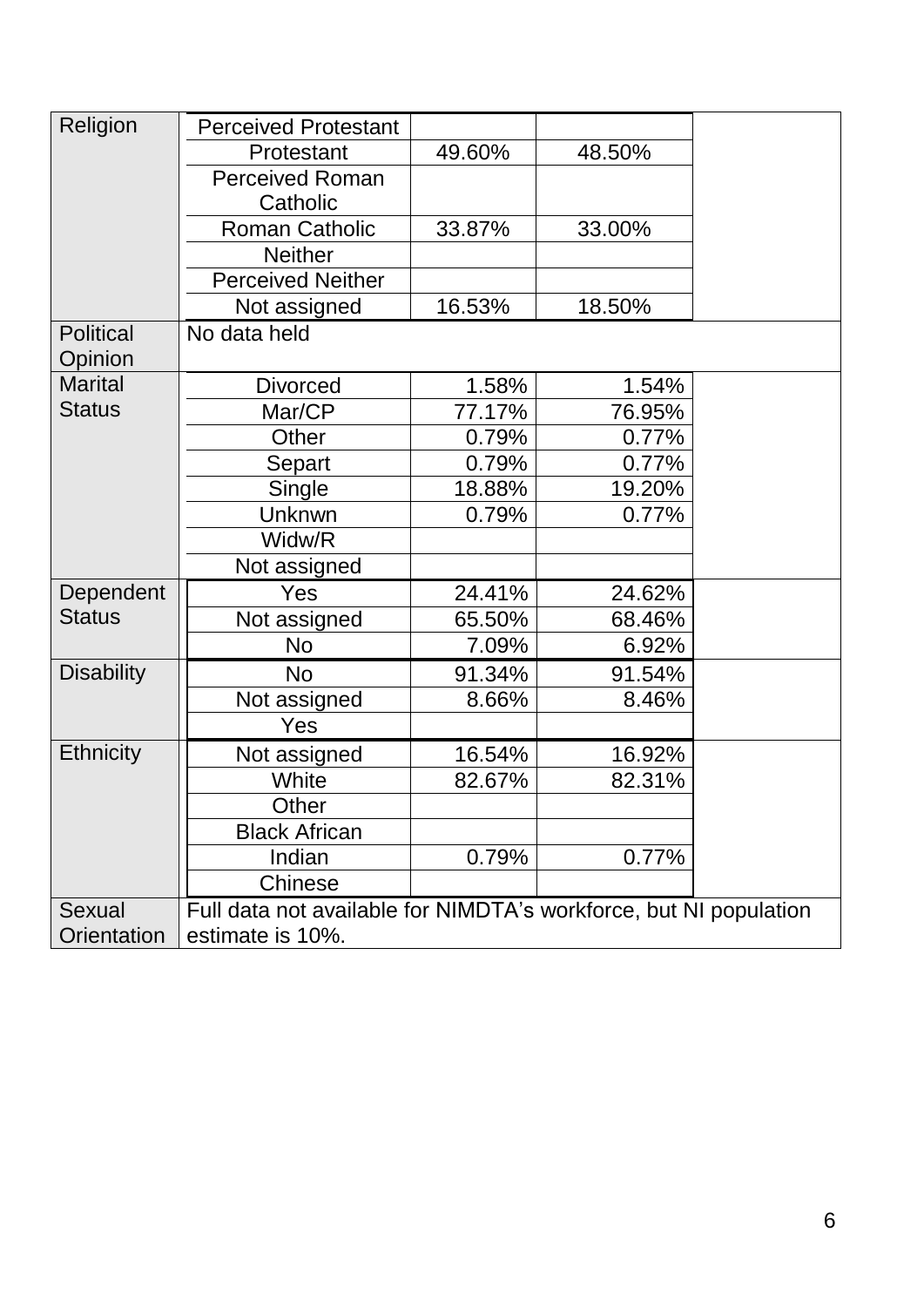| Religion          | <b>Perceived Protestant</b>                                       |        |        |  |  |
|-------------------|-------------------------------------------------------------------|--------|--------|--|--|
|                   | Protestant                                                        | 49.60% | 48.50% |  |  |
|                   | <b>Perceived Roman</b>                                            |        |        |  |  |
|                   | Catholic                                                          |        |        |  |  |
|                   | <b>Roman Catholic</b>                                             | 33.87% | 33.00% |  |  |
|                   | <b>Neither</b>                                                    |        |        |  |  |
|                   | <b>Perceived Neither</b>                                          |        |        |  |  |
|                   | Not assigned                                                      | 16.53% | 18.50% |  |  |
| <b>Political</b>  | No data held                                                      |        |        |  |  |
| Opinion           |                                                                   |        |        |  |  |
| <b>Marital</b>    | <b>Divorced</b>                                                   | 1.58%  | 1.54%  |  |  |
| <b>Status</b>     | Mar/CP                                                            | 77.17% | 76.95% |  |  |
|                   | Other                                                             | 0.79%  | 0.77%  |  |  |
|                   | Separt                                                            | 0.79%  | 0.77%  |  |  |
|                   | Single                                                            | 18.88% | 19.20% |  |  |
|                   | Unknwn                                                            | 0.79%  | 0.77%  |  |  |
|                   | Widw/R                                                            |        |        |  |  |
|                   | Not assigned                                                      |        |        |  |  |
| Dependent         | Yes                                                               | 24.41% | 24.62% |  |  |
| <b>Status</b>     | Not assigned                                                      | 65.50% | 68.46% |  |  |
|                   | <b>No</b>                                                         | 7.09%  | 6.92%  |  |  |
| <b>Disability</b> | <b>No</b>                                                         | 91.34% | 91.54% |  |  |
|                   | Not assigned                                                      | 8.66%  | 8.46%  |  |  |
|                   | Yes                                                               |        |        |  |  |
| <b>Ethnicity</b>  | Not assigned                                                      | 16.54% | 16.92% |  |  |
|                   | White                                                             | 82.67% | 82.31% |  |  |
|                   | Other                                                             |        |        |  |  |
|                   | <b>Black African</b>                                              |        |        |  |  |
|                   | Indian                                                            | 0.79%  | 0.77%  |  |  |
|                   | Chinese                                                           |        |        |  |  |
| <b>Sexual</b>     | Full data not available for NIMDTA's workforce, but NI population |        |        |  |  |
| Orientation       | estimate is 10%.                                                  |        |        |  |  |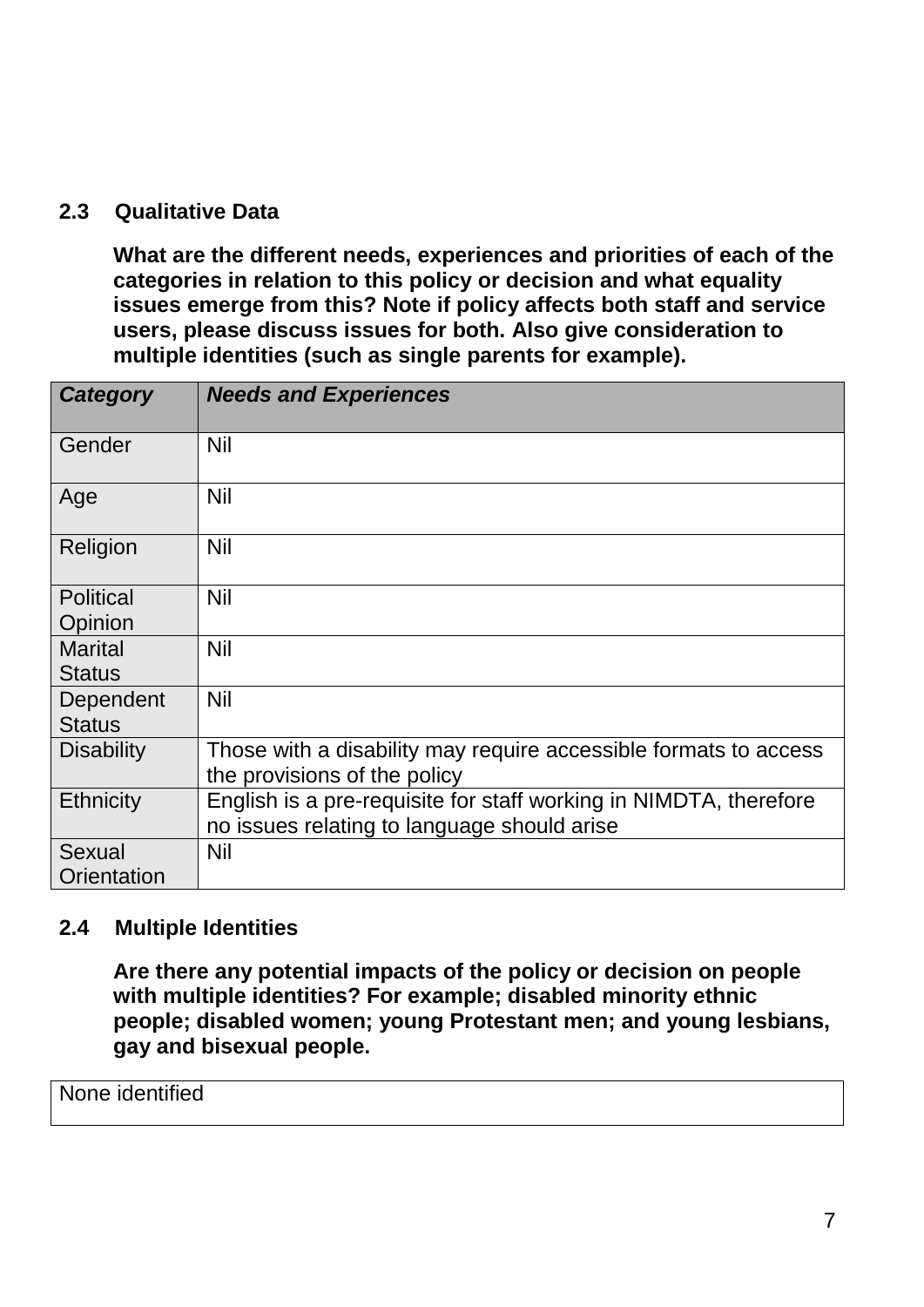## **2.3 Qualitative Data**

**What are the different needs, experiences and priorities of each of the categories in relation to this policy or decision and what equality issues emerge from this? Note if policy affects both staff and service users, please discuss issues for both. Also give consideration to multiple identities (such as single parents for example).**

| <b>Category</b>                 | <b>Needs and Experiences</b>                                                                                     |
|---------------------------------|------------------------------------------------------------------------------------------------------------------|
| Gender                          | Nil                                                                                                              |
| Age                             | <b>Nil</b>                                                                                                       |
| Religion                        | <b>Nil</b>                                                                                                       |
| <b>Political</b><br>Opinion     | <b>Nil</b>                                                                                                       |
| <b>Marital</b><br><b>Status</b> | <b>Nil</b>                                                                                                       |
| Dependent<br><b>Status</b>      | <b>Nil</b>                                                                                                       |
| <b>Disability</b>               | Those with a disability may require accessible formats to access<br>the provisions of the policy                 |
| Ethnicity                       | English is a pre-requisite for staff working in NIMDTA, therefore<br>no issues relating to language should arise |
| Sexual<br>Orientation           | <b>Nil</b>                                                                                                       |

#### **2.4 Multiple Identities**

**Are there any potential impacts of the policy or decision on people with multiple identities? For example; disabled minority ethnic people; disabled women; young Protestant men; and young lesbians, gay and bisexual people.**

#### None identified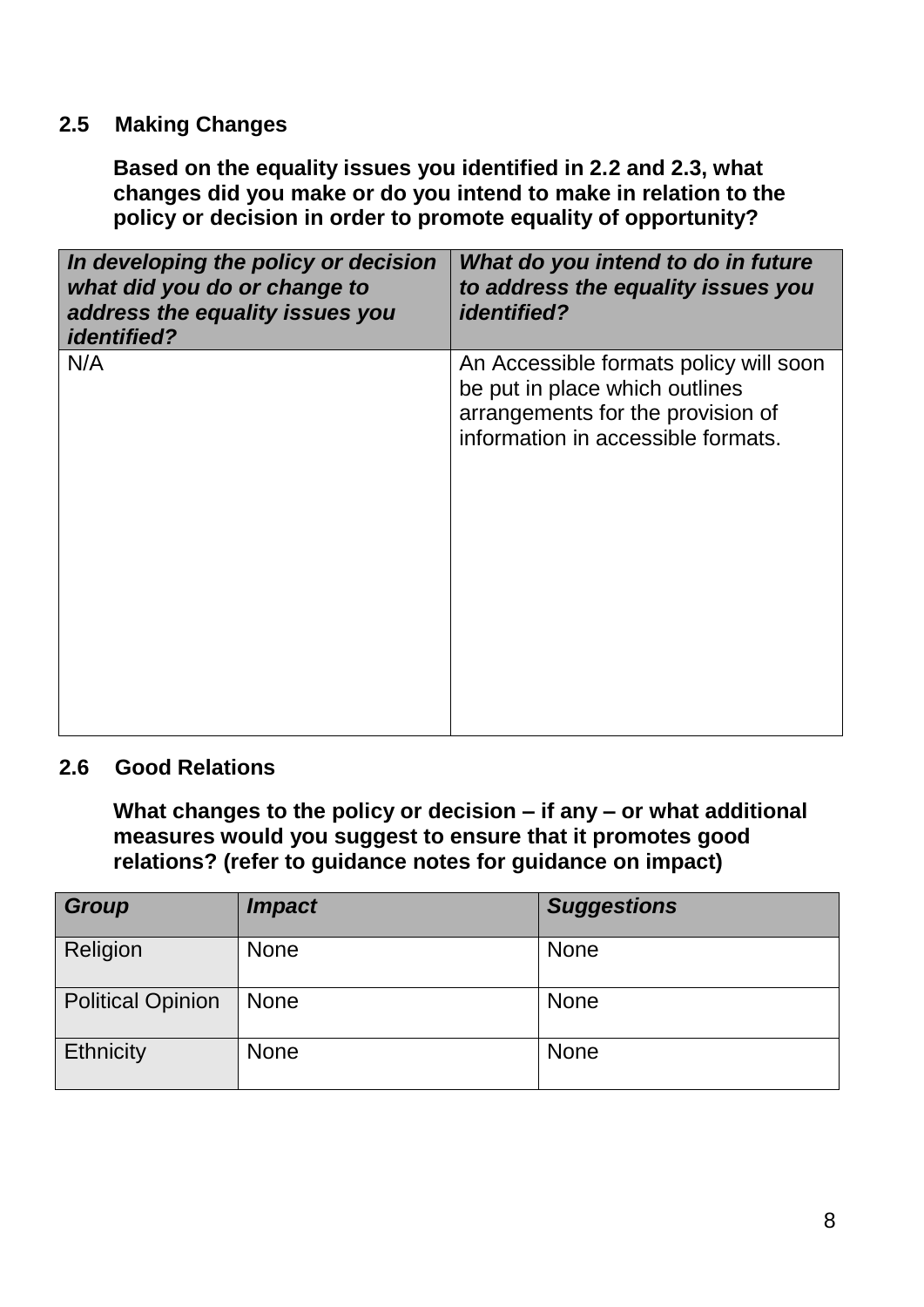# **2.5 Making Changes**

**Based on the equality issues you identified in 2.2 and 2.3, what changes did you make or do you intend to make in relation to the policy or decision in order to promote equality of opportunity?**

| In developing the policy or decision<br>what did you do or change to<br>address the equality issues you<br><i>identified?</i> | What do you intend to do in future<br>to address the equality issues you<br><i>identified?</i>                                                      |
|-------------------------------------------------------------------------------------------------------------------------------|-----------------------------------------------------------------------------------------------------------------------------------------------------|
| N/A                                                                                                                           | An Accessible formats policy will soon<br>be put in place which outlines<br>arrangements for the provision of<br>information in accessible formats. |

## **2.6 Good Relations**

**What changes to the policy or decision – if any – or what additional measures would you suggest to ensure that it promotes good relations? (refer to guidance notes for guidance on impact)**

| <b>Group</b>             | <i><b>Impact</b></i> | <b>Suggestions</b> |
|--------------------------|----------------------|--------------------|
| Religion                 | <b>None</b>          | <b>None</b>        |
| <b>Political Opinion</b> | <b>None</b>          | <b>None</b>        |
| <b>Ethnicity</b>         | <b>None</b>          | <b>None</b>        |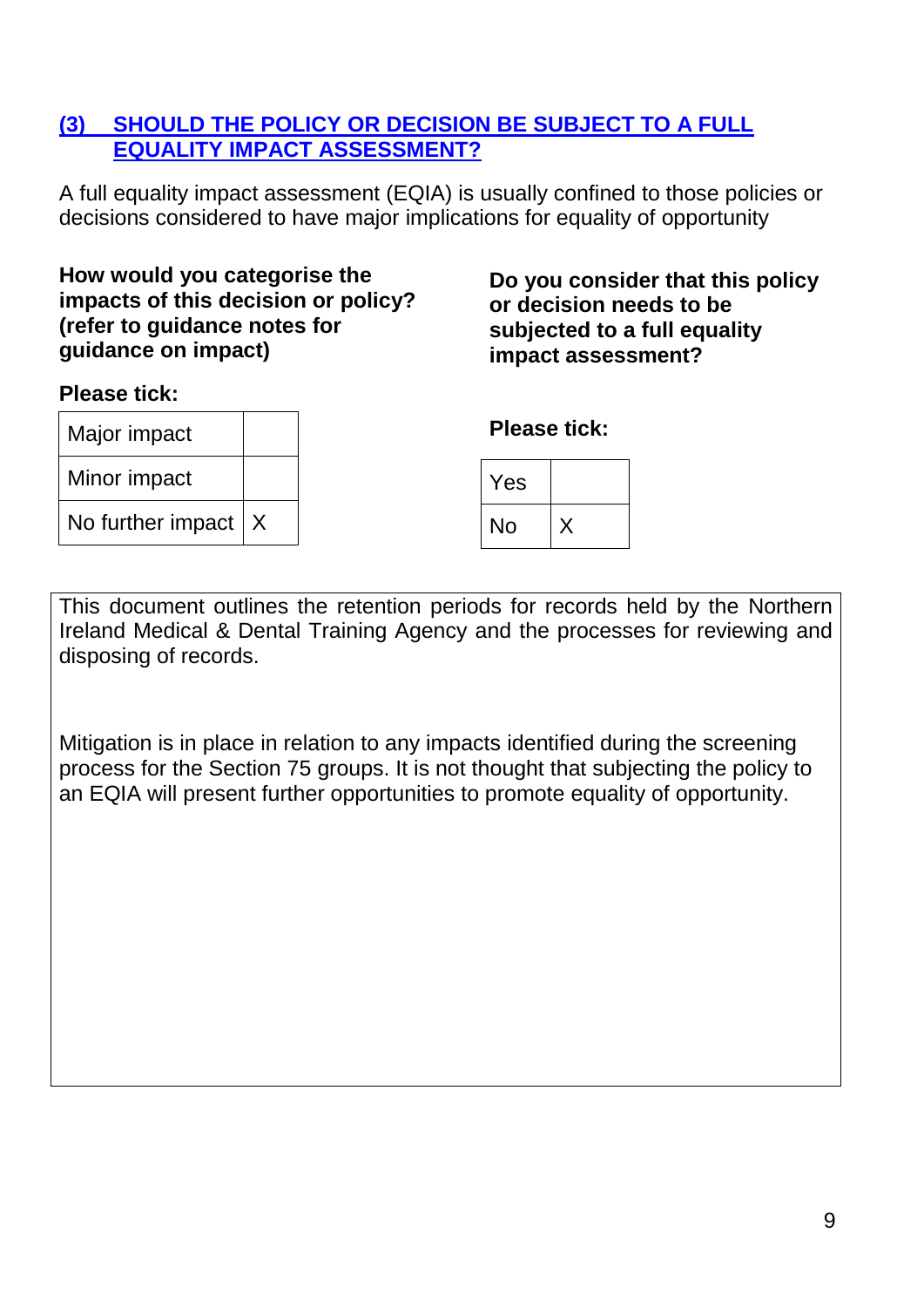# **(3) SHOULD THE POLICY OR DECISION BE SUBJECT TO A FULL EQUALITY IMPACT ASSESSMENT?**

A full equality impact assessment (EQIA) is usually confined to those policies or decisions considered to have major implications for equality of opportunity

## **How would you categorise the impacts of this decision or policy? (refer to guidance notes for guidance on impact)**

## **Please tick:**

Major impact Minor impact No further impact  $\mid$  X **Do you consider that this policy or decision needs to be subjected to a full equality impact assessment?**

**Please tick:**

| Yes |  |
|-----|--|
| No  |  |

This document outlines the retention periods for records held by the Northern Ireland Medical & Dental Training Agency and the processes for reviewing and disposing of records.

Mitigation is in place in relation to any impacts identified during the screening process for the Section 75 groups. It is not thought that subjecting the policy to an EQIA will present further opportunities to promote equality of opportunity.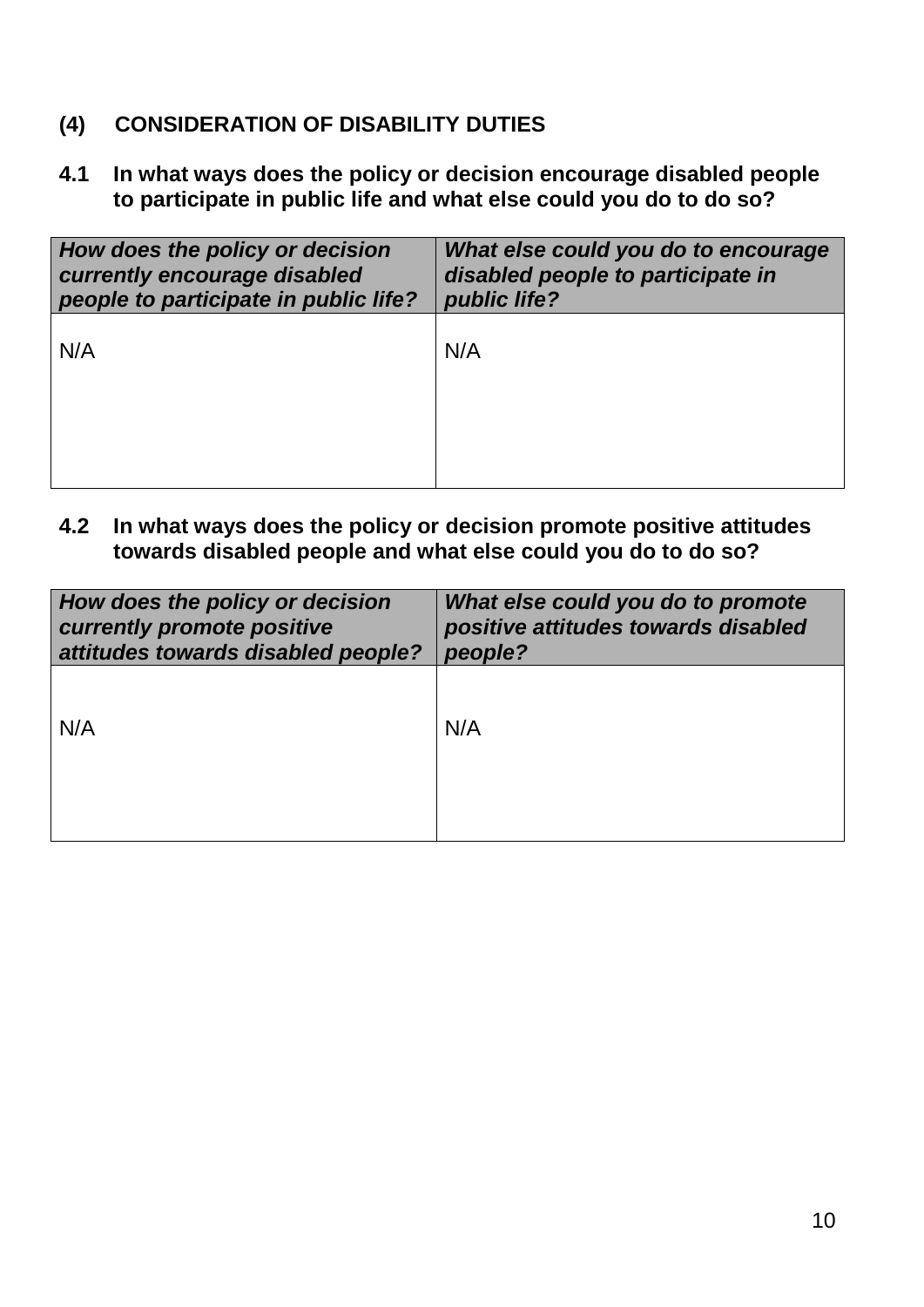# **(4) CONSIDERATION OF DISABILITY DUTIES**

**4.1 In what ways does the policy or decision encourage disabled people to participate in public life and what else could you do to do so?**

| How does the policy or decision<br>currently encourage disabled<br>people to participate in public life? | What else could you do to encourage<br>disabled people to participate in<br>public life? |
|----------------------------------------------------------------------------------------------------------|------------------------------------------------------------------------------------------|
| N/A                                                                                                      | N/A                                                                                      |
|                                                                                                          |                                                                                          |
|                                                                                                          |                                                                                          |

**4.2 In what ways does the policy or decision promote positive attitudes towards disabled people and what else could you do to do so?**

| How does the policy or decision    | What else could you do to promote   |
|------------------------------------|-------------------------------------|
| currently promote positive         | positive attitudes towards disabled |
| attitudes towards disabled people? | people?                             |
| N/A                                | N/A                                 |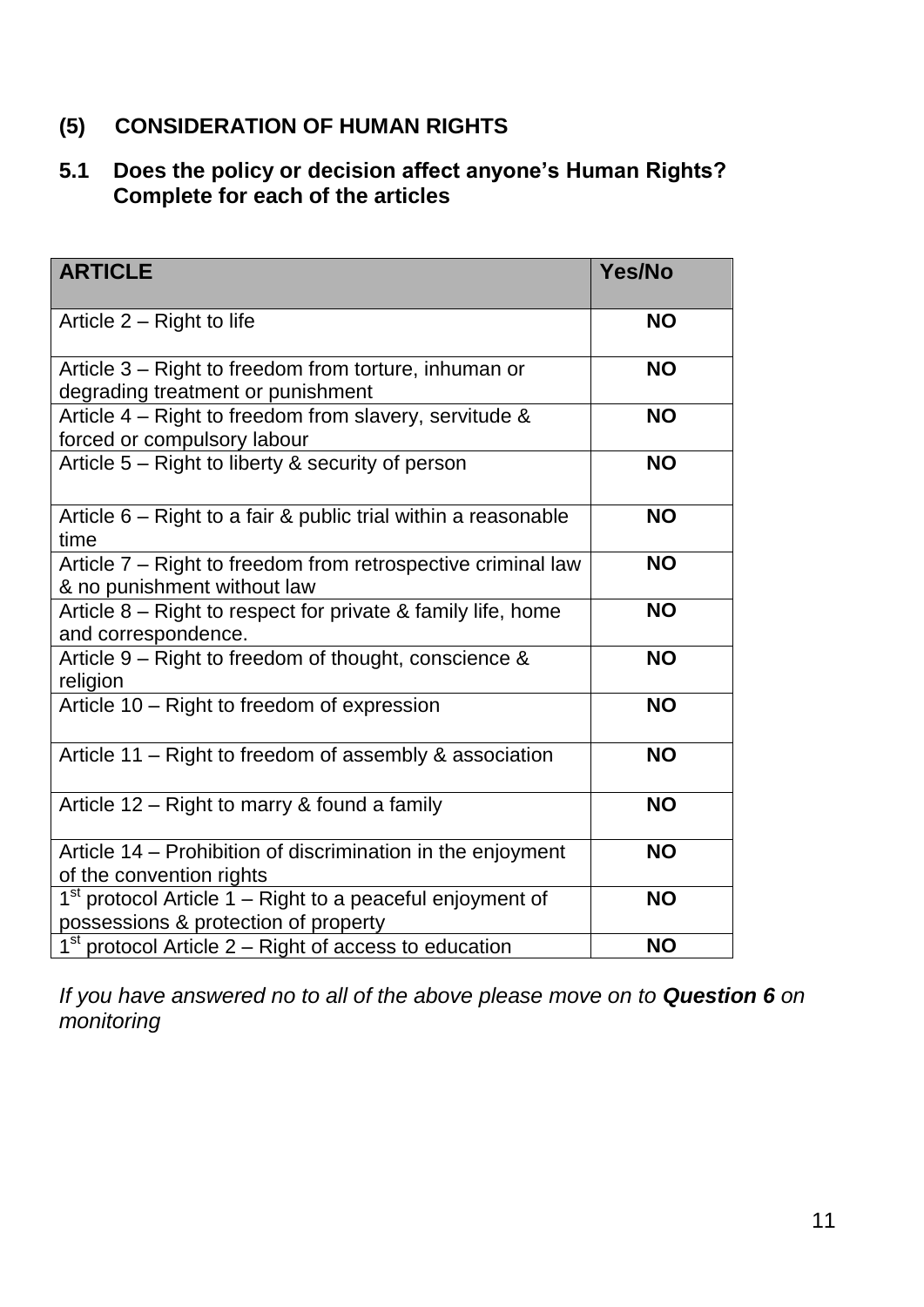# **(5) CONSIDERATION OF HUMAN RIGHTS**

# **5.1 Does the policy or decision affect anyone's Human Rights? Complete for each of the articles**

| <b>ARTICLE</b>                                                                                      | Yes/No    |
|-----------------------------------------------------------------------------------------------------|-----------|
| Article 2 – Right to life                                                                           | <b>NO</b> |
| Article 3 - Right to freedom from torture, inhuman or<br>degrading treatment or punishment          | <b>NO</b> |
| Article 4 - Right to freedom from slavery, servitude &<br>forced or compulsory labour               | <b>NO</b> |
| Article 5 – Right to liberty & security of person                                                   | <b>NO</b> |
| Article 6 – Right to a fair & public trial within a reasonable<br>time                              | <b>NO</b> |
| Article 7 – Right to freedom from retrospective criminal law<br>& no punishment without law         | <b>NO</b> |
| Article 8 – Right to respect for private & family life, home<br>and correspondence.                 | <b>NO</b> |
| Article 9 - Right to freedom of thought, conscience &<br>religion                                   | <b>NO</b> |
| Article 10 - Right to freedom of expression                                                         | <b>NO</b> |
| Article 11 – Right to freedom of assembly & association                                             | <b>NO</b> |
| Article 12 – Right to marry & found a family                                                        | <b>NO</b> |
| Article 14 – Prohibition of discrimination in the enjoyment<br>of the convention rights             | <b>NO</b> |
| $1st$ protocol Article 1 – Right to a peaceful enjoyment of<br>possessions & protection of property | <b>NO</b> |
| $1st$ protocol Article 2 – Right of access to education                                             | <b>NO</b> |

*If you have answered no to all of the above please move on to Question 6 on monitoring*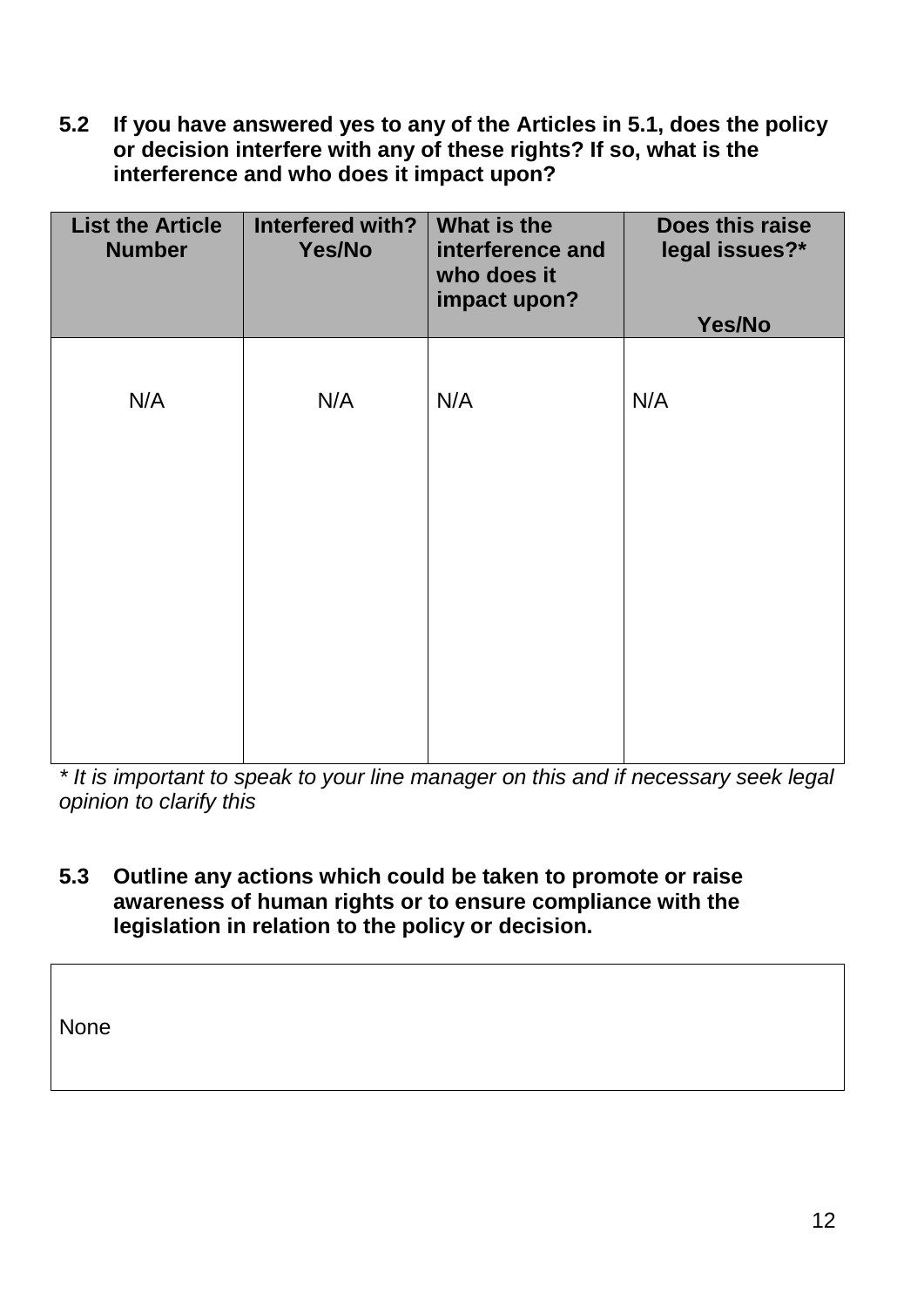**5.2 If you have answered yes to any of the Articles in 5.1, does the policy or decision interfere with any of these rights? If so, what is the interference and who does it impact upon?**

| <b>List the Article</b><br><b>Number</b> | Interfered with?<br>Yes/No | What is the<br>interference and<br>who does it<br>impact upon? | Does this raise<br>legal issues?*<br>Yes/No |
|------------------------------------------|----------------------------|----------------------------------------------------------------|---------------------------------------------|
| N/A                                      | N/A                        | N/A                                                            | N/A                                         |
|                                          |                            |                                                                |                                             |
|                                          |                            |                                                                |                                             |
|                                          |                            |                                                                |                                             |

*\* It is important to speak to your line manager on this and if necessary seek legal opinion to clarify this* 

**5.3 Outline any actions which could be taken to promote or raise awareness of human rights or to ensure compliance with the legislation in relation to the policy or decision.**

None